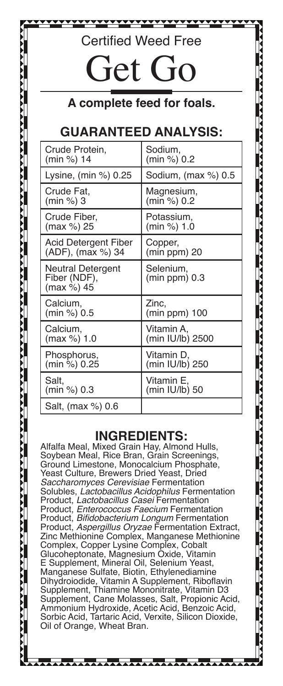## Certified Weed Free

# Get Go

## **A complete feed for foals.**

## **GUARANTEED ANALYSIS:**

| Crude Protein,                                  | Sodium,                      |  |
|-------------------------------------------------|------------------------------|--|
| (min %) 14                                      | (min %) 0.2                  |  |
| Lysine, (min %) 0.25                            | Sodium, (max %) 0.5          |  |
| Crude Fat.                                      | Magnesium,                   |  |
| (min %) 3                                       | (min %) 0.2                  |  |
| Crude Fiber,                                    | Potassium,                   |  |
| (max %) 25                                      | (min %) 1.0                  |  |
| Acid Detergent Fiber                            | Copper,                      |  |
| (ADF), (max %) 34                               | (min ppm) 20                 |  |
| Neutral Detergent<br>Fiber (NDF),<br>(max %) 45 | Selenium,<br>$(min ppm)$ 0.3 |  |
| Calcium,                                        | Zinc,                        |  |
| (min %) 0.5                                     | $(min ppm)$ 100              |  |
| Calcium,                                        | Vitamin A.                   |  |
| (max %) 1.0                                     | (min IU/lb) 2500             |  |
| Phosphorus,                                     | Vitamin D,                   |  |
| (min %) 0.25                                    | (min IU/lb) 250              |  |
| Salt.                                           | Vitamin E.                   |  |
| (min %) 0.3                                     | (min IU/lb) 50               |  |
| Salt, (max %) 0.6                               |                              |  |

### **INGREDIENTS:**

Alfalfa Meal, Mixed Grain Hay, Almond Hulls, Soybean Meal, Rice Bran, Grain Screenings, Ground Limestone, Monocalcium Phosphate, Yeast Culture, Brewers Dried Yeast, Dried *Saccharomyces Cerevisiae* Fermentation Solubles, *Lactobacillus Acidophilus* Fermentation Product, *Lactobacillus Casei* Fermentation Product, *Enterococcus Faecium* Fermentation Product, Bifidobacterium Longum Fermentation Product, Aspergillus Oryzae Fermentation Extract, Zinc Methionine Complex, Manganese Methionine Complex, Copper Lysine Complex, Cobalt Glucoheptonate, Magnesium Oxide, Vitamin E Supplement, Mineral Oil, Selenium Yeast, Manganese Sulfate, Biotin, Ethylenediamine Dihydroiodide, Vitamin A Supplement, Riboflavin Supplement, Thiamine Mononitrate, Vitamin D3 Supplement, Cane Molasses, Salt, Propionic Acid, Ammonium Hydroxide, Acetic Acid, Benzoic Acid, Sorbic Acid, Tartaric Acid, Verxite, Silicon Dioxide, Oil of Orange, Wheat Bran.

. . . . . . . . . . . *.* 

**\*\*\*\*\*\*\*\*\*\*\*\*\*\*\*\*\***